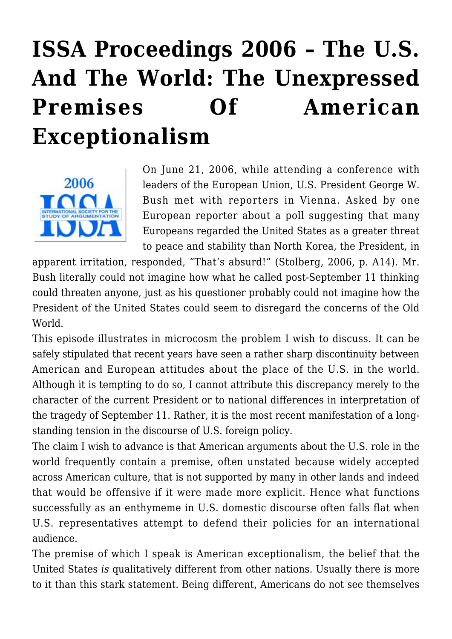# **[ISSA Proceedings 2006 – The U.S.](https://rozenbergquarterly.com/issa-proceedings-2006-the-u-s-and-the-world-the-unexpressed-premises-of-american-exceptionalism/) [And The World: The Unexpressed](https://rozenbergquarterly.com/issa-proceedings-2006-the-u-s-and-the-world-the-unexpressed-premises-of-american-exceptionalism/) [Premises Of American](https://rozenbergquarterly.com/issa-proceedings-2006-the-u-s-and-the-world-the-unexpressed-premises-of-american-exceptionalism/) [Exceptionalism](https://rozenbergquarterly.com/issa-proceedings-2006-the-u-s-and-the-world-the-unexpressed-premises-of-american-exceptionalism/)**



On June 21, 2006, while attending a conference with leaders of the European Union, U.S. President George W. Bush met with reporters in Vienna. Asked by one European reporter about a poll suggesting that many Europeans regarded the United States as a greater threat to peace and stability than North Korea, the President, in

apparent irritation, responded, "That's absurd!" (Stolberg, 2006, p. A14). Mr. Bush literally could not imagine how what he called post-September 11 thinking could threaten anyone, just as his questioner probably could not imagine how the President of the United States could seem to disregard the concerns of the Old World.

This episode illustrates in microcosm the problem I wish to discuss. It can be safely stipulated that recent years have seen a rather sharp discontinuity between American and European attitudes about the place of the U.S. in the world. Although it is tempting to do so, I cannot attribute this discrepancy merely to the character of the current President or to national differences in interpretation of the tragedy of September 11. Rather, it is the most recent manifestation of a longstanding tension in the discourse of U.S. foreign policy.

The claim I wish to advance is that American arguments about the U.S. role in the world frequently contain a premise, often unstated because widely accepted across American culture, that is not supported by many in other lands and indeed that would be offensive if it were made more explicit. Hence what functions successfully as an enthymeme in U.S. domestic discourse often falls flat when U.S. representatives attempt to defend their policies for an international audience.

The premise of which I speak is American exceptionalism, the belief that the United States *is* qualitatively different from other nations. Usually there is more to it than this stark statement. Being different, Americans do not see themselves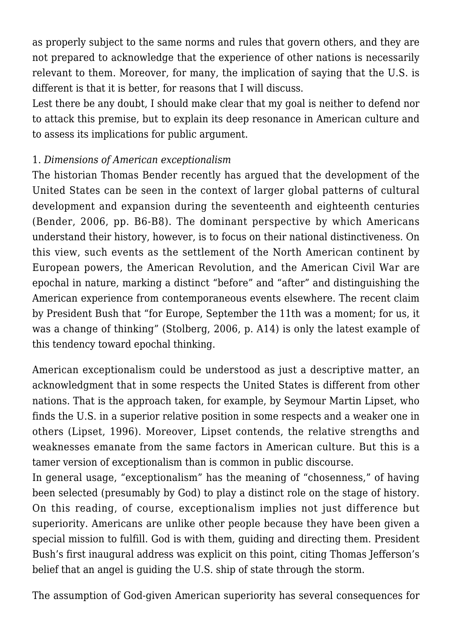as properly subject to the same norms and rules that govern others, and they are not prepared to acknowledge that the experience of other nations is necessarily relevant to them. Moreover, for many, the implication of saying that the U.S. is different is that it is better, for reasons that I will discuss.

Lest there be any doubt, I should make clear that my goal is neither to defend nor to attack this premise, but to explain its deep resonance in American culture and to assess its implications for public argument.

## 1. *Dimensions of American exceptionalism*

The historian Thomas Bender recently has argued that the development of the United States can be seen in the context of larger global patterns of cultural development and expansion during the seventeenth and eighteenth centuries (Bender, 2006, pp. B6-B8). The dominant perspective by which Americans understand their history, however, is to focus on their national distinctiveness. On this view, such events as the settlement of the North American continent by European powers, the American Revolution, and the American Civil War are epochal in nature, marking a distinct "before" and "after" and distinguishing the American experience from contemporaneous events elsewhere. The recent claim by President Bush that "for Europe, September the 11th was a moment; for us, it was a change of thinking" (Stolberg, 2006, p. A14) is only the latest example of this tendency toward epochal thinking.

American exceptionalism could be understood as just a descriptive matter, an acknowledgment that in some respects the United States is different from other nations. That is the approach taken, for example, by Seymour Martin Lipset, who finds the U.S. in a superior relative position in some respects and a weaker one in others (Lipset, 1996). Moreover, Lipset contends, the relative strengths and weaknesses emanate from the same factors in American culture. But this is a tamer version of exceptionalism than is common in public discourse.

In general usage, "exceptionalism" has the meaning of "chosenness," of having been selected (presumably by God) to play a distinct role on the stage of history. On this reading, of course, exceptionalism implies not just difference but superiority. Americans are unlike other people because they have been given a special mission to fulfill. God is with them, guiding and directing them. President Bush's first inaugural address was explicit on this point, citing Thomas Jefferson's belief that an angel is guiding the U.S. ship of state through the storm.

The assumption of God-given American superiority has several consequences for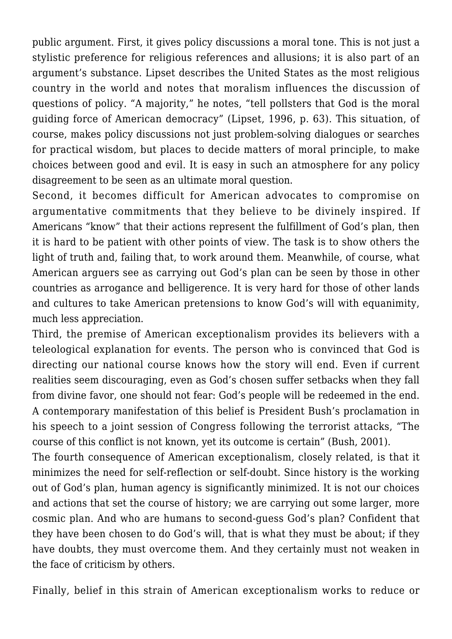public argument. First, it gives policy discussions a moral tone. This is not just a stylistic preference for religious references and allusions; it is also part of an argument's substance. Lipset describes the United States as the most religious country in the world and notes that moralism influences the discussion of questions of policy. "A majority," he notes, "tell pollsters that God is the moral guiding force of American democracy" (Lipset, 1996, p. 63). This situation, of course, makes policy discussions not just problem-solving dialogues or searches for practical wisdom, but places to decide matters of moral principle, to make choices between good and evil. It is easy in such an atmosphere for any policy disagreement to be seen as an ultimate moral question.

Second, it becomes difficult for American advocates to compromise on argumentative commitments that they believe to be divinely inspired. If Americans "know" that their actions represent the fulfillment of God's plan, then it is hard to be patient with other points of view. The task is to show others the light of truth and, failing that, to work around them. Meanwhile, of course, what American arguers see as carrying out God's plan can be seen by those in other countries as arrogance and belligerence. It is very hard for those of other lands and cultures to take American pretensions to know God's will with equanimity, much less appreciation.

Third, the premise of American exceptionalism provides its believers with a teleological explanation for events. The person who is convinced that God is directing our national course knows how the story will end. Even if current realities seem discouraging, even as God's chosen suffer setbacks when they fall from divine favor, one should not fear: God's people will be redeemed in the end. A contemporary manifestation of this belief is President Bush's proclamation in his speech to a joint session of Congress following the terrorist attacks, "The course of this conflict is not known, yet its outcome is certain" (Bush, 2001).

The fourth consequence of American exceptionalism, closely related, is that it minimizes the need for self-reflection or self-doubt. Since history is the working out of God's plan, human agency is significantly minimized. It is not our choices and actions that set the course of history; we are carrying out some larger, more cosmic plan. And who are humans to second-guess God's plan? Confident that they have been chosen to do God's will, that is what they must be about; if they have doubts, they must overcome them. And they certainly must not weaken in the face of criticism by others.

Finally, belief in this strain of American exceptionalism works to reduce or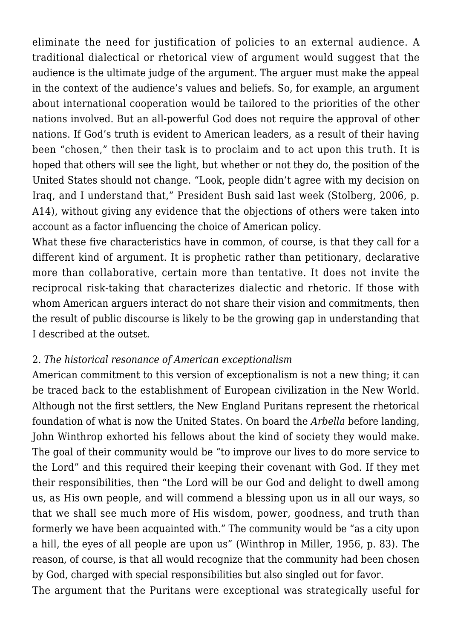eliminate the need for justification of policies to an external audience. A traditional dialectical or rhetorical view of argument would suggest that the audience is the ultimate judge of the argument. The arguer must make the appeal in the context of the audience's values and beliefs. So, for example, an argument about international cooperation would be tailored to the priorities of the other nations involved. But an all-powerful God does not require the approval of other nations. If God's truth is evident to American leaders, as a result of their having been "chosen," then their task is to proclaim and to act upon this truth. It is hoped that others will see the light, but whether or not they do, the position of the United States should not change. "Look, people didn't agree with my decision on Iraq, and I understand that," President Bush said last week (Stolberg, 2006, p. A14), without giving any evidence that the objections of others were taken into account as a factor influencing the choice of American policy.

What these five characteristics have in common, of course, is that they call for a different kind of argument. It is prophetic rather than petitionary, declarative more than collaborative, certain more than tentative. It does not invite the reciprocal risk-taking that characterizes dialectic and rhetoric. If those with whom American arguers interact do not share their vision and commitments, then the result of public discourse is likely to be the growing gap in understanding that I described at the outset.

## 2. *The historical resonance of American exceptionalism*

American commitment to this version of exceptionalism is not a new thing; it can be traced back to the establishment of European civilization in the New World. Although not the first settlers, the New England Puritans represent the rhetorical foundation of what is now the United States. On board the *Arbella* before landing, John Winthrop exhorted his fellows about the kind of society they would make. The goal of their community would be "to improve our lives to do more service to the Lord" and this required their keeping their covenant with God. If they met their responsibilities, then "the Lord will be our God and delight to dwell among us, as His own people, and will commend a blessing upon us in all our ways, so that we shall see much more of His wisdom, power, goodness, and truth than formerly we have been acquainted with." The community would be "as a city upon a hill, the eyes of all people are upon us" (Winthrop in Miller, 1956, p. 83). The reason, of course, is that all would recognize that the community had been chosen by God, charged with special responsibilities but also singled out for favor.

The argument that the Puritans were exceptional was strategically useful for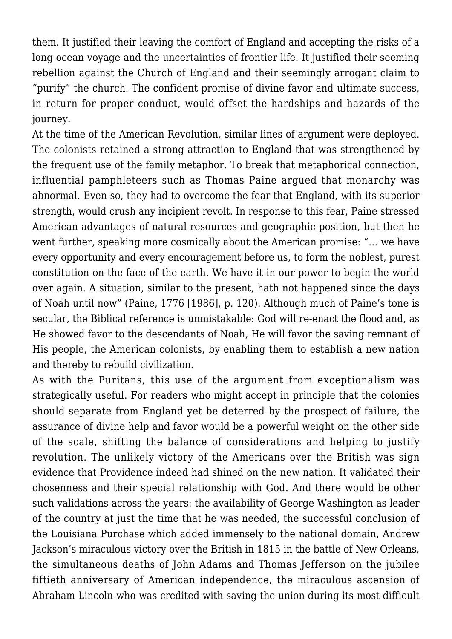them. It justified their leaving the comfort of England and accepting the risks of a long ocean voyage and the uncertainties of frontier life. It justified their seeming rebellion against the Church of England and their seemingly arrogant claim to "purify" the church. The confident promise of divine favor and ultimate success, in return for proper conduct, would offset the hardships and hazards of the journey.

At the time of the American Revolution, similar lines of argument were deployed. The colonists retained a strong attraction to England that was strengthened by the frequent use of the family metaphor. To break that metaphorical connection, influential pamphleteers such as Thomas Paine argued that monarchy was abnormal. Even so, they had to overcome the fear that England, with its superior strength, would crush any incipient revolt. In response to this fear, Paine stressed American advantages of natural resources and geographic position, but then he went further, speaking more cosmically about the American promise: "… we have every opportunity and every encouragement before us, to form the noblest, purest constitution on the face of the earth. We have it in our power to begin the world over again. A situation, similar to the present, hath not happened since the days of Noah until now" (Paine, 1776 [1986], p. 120). Although much of Paine's tone is secular, the Biblical reference is unmistakable: God will re-enact the flood and, as He showed favor to the descendants of Noah, He will favor the saving remnant of His people, the American colonists, by enabling them to establish a new nation and thereby to rebuild civilization.

As with the Puritans, this use of the argument from exceptionalism was strategically useful. For readers who might accept in principle that the colonies should separate from England yet be deterred by the prospect of failure, the assurance of divine help and favor would be a powerful weight on the other side of the scale, shifting the balance of considerations and helping to justify revolution. The unlikely victory of the Americans over the British was sign evidence that Providence indeed had shined on the new nation. It validated their chosenness and their special relationship with God. And there would be other such validations across the years: the availability of George Washington as leader of the country at just the time that he was needed, the successful conclusion of the Louisiana Purchase which added immensely to the national domain, Andrew Jackson's miraculous victory over the British in 1815 in the battle of New Orleans, the simultaneous deaths of John Adams and Thomas Jefferson on the jubilee fiftieth anniversary of American independence, the miraculous ascension of Abraham Lincoln who was credited with saving the union during its most difficult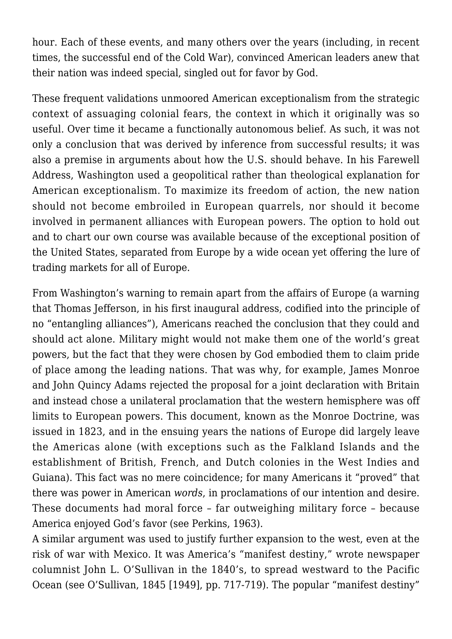hour. Each of these events, and many others over the years (including, in recent times, the successful end of the Cold War), convinced American leaders anew that their nation was indeed special, singled out for favor by God.

These frequent validations unmoored American exceptionalism from the strategic context of assuaging colonial fears, the context in which it originally was so useful. Over time it became a functionally autonomous belief. As such, it was not only a conclusion that was derived by inference from successful results; it was also a premise in arguments about how the U.S. should behave. In his Farewell Address, Washington used a geopolitical rather than theological explanation for American exceptionalism. To maximize its freedom of action, the new nation should not become embroiled in European quarrels, nor should it become involved in permanent alliances with European powers. The option to hold out and to chart our own course was available because of the exceptional position of the United States, separated from Europe by a wide ocean yet offering the lure of trading markets for all of Europe.

From Washington's warning to remain apart from the affairs of Europe (a warning that Thomas Jefferson, in his first inaugural address, codified into the principle of no "entangling alliances"), Americans reached the conclusion that they could and should act alone. Military might would not make them one of the world's great powers, but the fact that they were chosen by God embodied them to claim pride of place among the leading nations. That was why, for example, James Monroe and John Quincy Adams rejected the proposal for a joint declaration with Britain and instead chose a unilateral proclamation that the western hemisphere was off limits to European powers. This document, known as the Monroe Doctrine, was issued in 1823, and in the ensuing years the nations of Europe did largely leave the Americas alone (with exceptions such as the Falkland Islands and the establishment of British, French, and Dutch colonies in the West Indies and Guiana). This fact was no mere coincidence; for many Americans it "proved" that there was power in American *words*, in proclamations of our intention and desire. These documents had moral force – far outweighing military force – because America enjoyed God's favor (see Perkins, 1963).

A similar argument was used to justify further expansion to the west, even at the risk of war with Mexico. It was America's "manifest destiny," wrote newspaper columnist John L. O'Sullivan in the 1840's, to spread westward to the Pacific Ocean (see O'Sullivan, 1845 [1949], pp. 717-719). The popular "manifest destiny"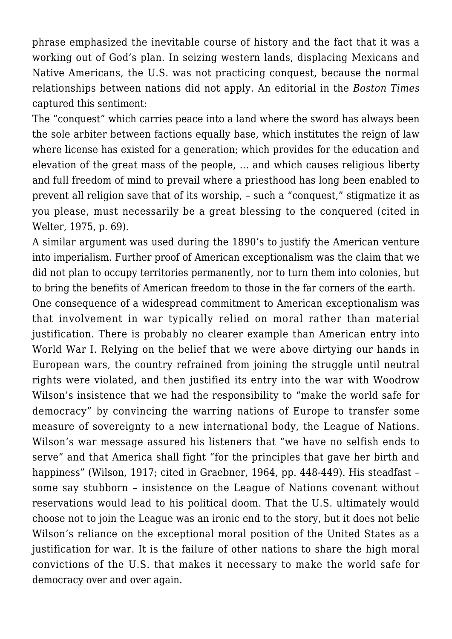phrase emphasized the inevitable course of history and the fact that it was a working out of God's plan. In seizing western lands, displacing Mexicans and Native Americans, the U.S. was not practicing conquest, because the normal relationships between nations did not apply. An editorial in the *Boston Times* captured this sentiment:

The "conquest" which carries peace into a land where the sword has always been the sole arbiter between factions equally base, which institutes the reign of law where license has existed for a generation; which provides for the education and elevation of the great mass of the people, … and which causes religious liberty and full freedom of mind to prevail where a priesthood has long been enabled to prevent all religion save that of its worship, – such a "conquest," stigmatize it as you please, must necessarily be a great blessing to the conquered (cited in Welter, 1975, p. 69).

A similar argument was used during the 1890's to justify the American venture into imperialism. Further proof of American exceptionalism was the claim that we did not plan to occupy territories permanently, nor to turn them into colonies, but to bring the benefits of American freedom to those in the far corners of the earth.

One consequence of a widespread commitment to American exceptionalism was that involvement in war typically relied on moral rather than material justification. There is probably no clearer example than American entry into World War I. Relying on the belief that we were above dirtying our hands in European wars, the country refrained from joining the struggle until neutral rights were violated, and then justified its entry into the war with Woodrow Wilson's insistence that we had the responsibility to "make the world safe for democracy" by convincing the warring nations of Europe to transfer some measure of sovereignty to a new international body, the League of Nations. Wilson's war message assured his listeners that "we have no selfish ends to serve" and that America shall fight "for the principles that gave her birth and happiness" (Wilson, 1917; cited in Graebner, 1964, pp. 448-449). His steadfast – some say stubborn – insistence on the League of Nations covenant without reservations would lead to his political doom. That the U.S. ultimately would choose not to join the League was an ironic end to the story, but it does not belie Wilson's reliance on the exceptional moral position of the United States as a justification for war. It is the failure of other nations to share the high moral convictions of the U.S. that makes it necessary to make the world safe for democracy over and over again.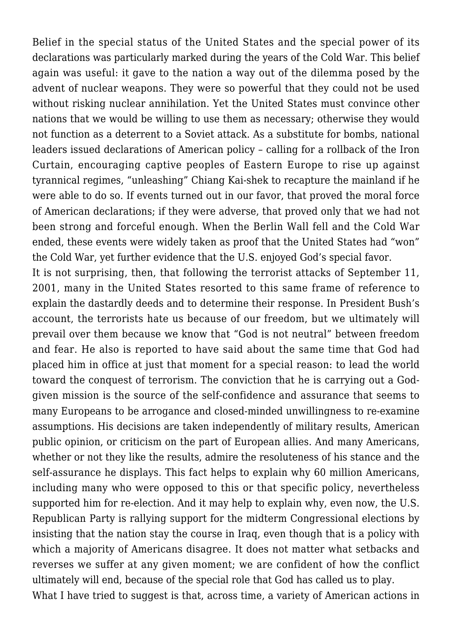Belief in the special status of the United States and the special power of its declarations was particularly marked during the years of the Cold War. This belief again was useful: it gave to the nation a way out of the dilemma posed by the advent of nuclear weapons. They were so powerful that they could not be used without risking nuclear annihilation. Yet the United States must convince other nations that we would be willing to use them as necessary; otherwise they would not function as a deterrent to a Soviet attack. As a substitute for bombs, national leaders issued declarations of American policy – calling for a rollback of the Iron Curtain, encouraging captive peoples of Eastern Europe to rise up against tyrannical regimes, "unleashing" Chiang Kai-shek to recapture the mainland if he were able to do so. If events turned out in our favor, that proved the moral force of American declarations; if they were adverse, that proved only that we had not been strong and forceful enough. When the Berlin Wall fell and the Cold War ended, these events were widely taken as proof that the United States had "won" the Cold War, yet further evidence that the U.S. enjoyed God's special favor.

It is not surprising, then, that following the terrorist attacks of September 11, 2001, many in the United States resorted to this same frame of reference to explain the dastardly deeds and to determine their response. In President Bush's account, the terrorists hate us because of our freedom, but we ultimately will prevail over them because we know that "God is not neutral" between freedom and fear. He also is reported to have said about the same time that God had placed him in office at just that moment for a special reason: to lead the world toward the conquest of terrorism. The conviction that he is carrying out a Godgiven mission is the source of the self-confidence and assurance that seems to many Europeans to be arrogance and closed-minded unwillingness to re-examine assumptions. His decisions are taken independently of military results, American public opinion, or criticism on the part of European allies. And many Americans, whether or not they like the results, admire the resoluteness of his stance and the self-assurance he displays. This fact helps to explain why 60 million Americans, including many who were opposed to this or that specific policy, nevertheless supported him for re-election. And it may help to explain why, even now, the U.S. Republican Party is rallying support for the midterm Congressional elections by insisting that the nation stay the course in Iraq, even though that is a policy with which a majority of Americans disagree. It does not matter what setbacks and reverses we suffer at any given moment; we are confident of how the conflict ultimately will end, because of the special role that God has called us to play. What I have tried to suggest is that, across time, a variety of American actions in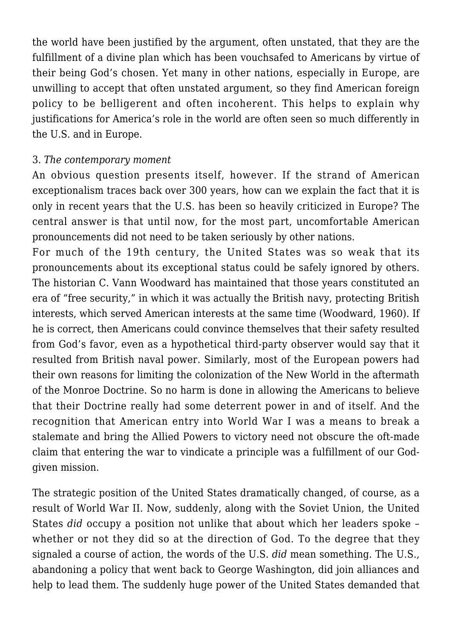the world have been justified by the argument, often unstated, that they are the fulfillment of a divine plan which has been vouchsafed to Americans by virtue of their being God's chosen. Yet many in other nations, especially in Europe, are unwilling to accept that often unstated argument, so they find American foreign policy to be belligerent and often incoherent. This helps to explain why justifications for America's role in the world are often seen so much differently in the U.S. and in Europe.

#### 3. *The contemporary moment*

An obvious question presents itself, however. If the strand of American exceptionalism traces back over 300 years, how can we explain the fact that it is only in recent years that the U.S. has been so heavily criticized in Europe? The central answer is that until now, for the most part, uncomfortable American pronouncements did not need to be taken seriously by other nations.

For much of the 19th century, the United States was so weak that its pronouncements about its exceptional status could be safely ignored by others. The historian C. Vann Woodward has maintained that those years constituted an era of "free security," in which it was actually the British navy, protecting British interests, which served American interests at the same time (Woodward, 1960). If he is correct, then Americans could convince themselves that their safety resulted from God's favor, even as a hypothetical third-party observer would say that it resulted from British naval power. Similarly, most of the European powers had their own reasons for limiting the colonization of the New World in the aftermath of the Monroe Doctrine. So no harm is done in allowing the Americans to believe that their Doctrine really had some deterrent power in and of itself. And the recognition that American entry into World War I was a means to break a stalemate and bring the Allied Powers to victory need not obscure the oft-made claim that entering the war to vindicate a principle was a fulfillment of our Godgiven mission.

The strategic position of the United States dramatically changed, of course, as a result of World War II. Now, suddenly, along with the Soviet Union, the United States *did* occupy a position not unlike that about which her leaders spoke – whether or not they did so at the direction of God. To the degree that they signaled a course of action, the words of the U.S. *did* mean something. The U.S., abandoning a policy that went back to George Washington, did join alliances and help to lead them. The suddenly huge power of the United States demanded that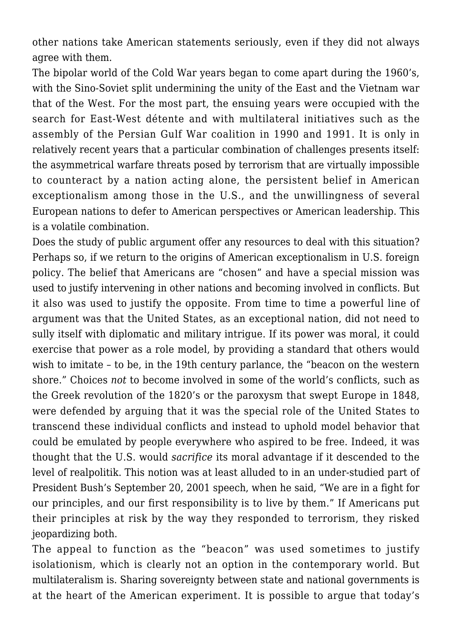other nations take American statements seriously, even if they did not always agree with them.

The bipolar world of the Cold War years began to come apart during the 1960's, with the Sino-Soviet split undermining the unity of the East and the Vietnam war that of the West. For the most part, the ensuing years were occupied with the search for East-West détente and with multilateral initiatives such as the assembly of the Persian Gulf War coalition in 1990 and 1991. It is only in relatively recent years that a particular combination of challenges presents itself: the asymmetrical warfare threats posed by terrorism that are virtually impossible to counteract by a nation acting alone, the persistent belief in American exceptionalism among those in the U.S., and the unwillingness of several European nations to defer to American perspectives or American leadership. This is a volatile combination.

Does the study of public argument offer any resources to deal with this situation? Perhaps so, if we return to the origins of American exceptionalism in U.S. foreign policy. The belief that Americans are "chosen" and have a special mission was used to justify intervening in other nations and becoming involved in conflicts. But it also was used to justify the opposite. From time to time a powerful line of argument was that the United States, as an exceptional nation, did not need to sully itself with diplomatic and military intrigue. If its power was moral, it could exercise that power as a role model, by providing a standard that others would wish to imitate – to be, in the 19th century parlance, the "beacon on the western shore." Choices *not* to become involved in some of the world's conflicts, such as the Greek revolution of the 1820's or the paroxysm that swept Europe in 1848, were defended by arguing that it was the special role of the United States to transcend these individual conflicts and instead to uphold model behavior that could be emulated by people everywhere who aspired to be free. Indeed, it was thought that the U.S. would *sacrifice* its moral advantage if it descended to the level of realpolitik. This notion was at least alluded to in an under-studied part of President Bush's September 20, 2001 speech, when he said, "We are in a fight for our principles, and our first responsibility is to live by them." If Americans put their principles at risk by the way they responded to terrorism, they risked jeopardizing both.

The appeal to function as the "beacon" was used sometimes to justify isolationism, which is clearly not an option in the contemporary world. But multilateralism is. Sharing sovereignty between state and national governments is at the heart of the American experiment. It is possible to argue that today's